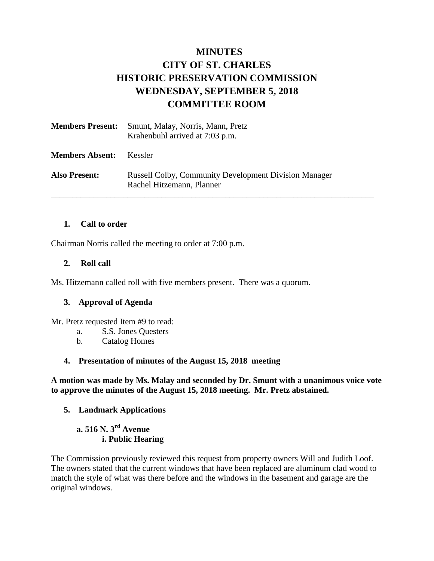## **MINUTES CITY OF ST. CHARLES HISTORIC PRESERVATION COMMISSION WEDNESDAY, SEPTEMBER 5, 2018 COMMITTEE ROOM**

| <b>Members Present:</b> | Smunt, Malay, Norris, Mann, Pretz<br>Krahenbuhl arrived at 7:03 p.m.                      |
|-------------------------|-------------------------------------------------------------------------------------------|
| <b>Members Absent:</b>  | <b>Kessler</b>                                                                            |
| <b>Also Present:</b>    | <b>Russell Colby, Community Development Division Manager</b><br>Rachel Hitzemann, Planner |

#### **1. Call to order**

Chairman Norris called the meeting to order at 7:00 p.m.

#### **2. Roll call**

Ms. Hitzemann called roll with five members present. There was a quorum.

#### **3. Approval of Agenda**

Mr. Pretz requested Item #9 to read:

- a. S.S. Jones Questers
- b. Catalog Homes

#### **4. Presentation of minutes of the August 15, 2018 meeting**

**A motion was made by Ms. Malay and seconded by Dr. Smunt with a unanimous voice vote to approve the minutes of the August 15, 2018 meeting. Mr. Pretz abstained.** 

#### **5. Landmark Applications**

## **a. 516 N. 3rd Avenue i. Public Hearing**

The Commission previously reviewed this request from property owners Will and Judith Loof. The owners stated that the current windows that have been replaced are aluminum clad wood to match the style of what was there before and the windows in the basement and garage are the original windows.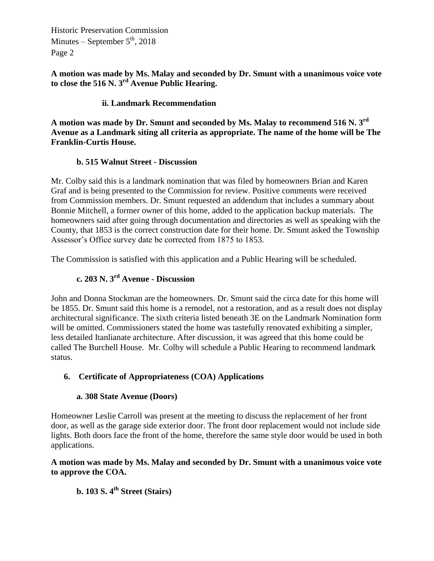**A motion was made by Ms. Malay and seconded by Dr. Smunt with a unanimous voice vote to close the 516 N. 3rd Avenue Public Hearing.**

#### **ii. Landmark Recommendation**

**A motion was made by Dr. Smunt and seconded by Ms. Malay to recommend 516 N. 3rd Avenue as a Landmark siting all criteria as appropriate. The name of the home will be The Franklin-Curtis House.** 

#### **b. 515 Walnut Street - Discussion**

Mr. Colby said this is a landmark nomination that was filed by homeowners Brian and Karen Graf and is being presented to the Commission for review. Positive comments were received from Commission members. Dr. Smunt requested an addendum that includes a summary about Bonnie Mitchell, a former owner of this home, added to the application backup materials. The homeowners said after going through documentation and directories as well as speaking with the County, that 1853 is the correct construction date for their home. Dr. Smunt asked the Township Assessor's Office survey date be corrected from 1875 to 1853.

The Commission is satisfied with this application and a Public Hearing will be scheduled.

# **c. 203 N. 3rd Avenue - Discussion**

John and Donna Stockman are the homeowners. Dr. Smunt said the circa date for this home will be 1855. Dr. Smunt said this home is a remodel, not a restoration, and as a result does not display architectural significance. The sixth criteria listed beneath 3E on the Landmark Nomination form will be omitted. Commissioners stated the home was tastefully renovated exhibiting a simpler, less detailed Itanlianate architecture. After discussion, it was agreed that this home could be called The Burchell House. Mr. Colby will schedule a Public Hearing to recommend landmark status.

#### **6. Certificate of Appropriateness (COA) Applications**

#### **a. 308 State Avenue (Doors)**

Homeowner Leslie Carroll was present at the meeting to discuss the replacement of her front door, as well as the garage side exterior door. The front door replacement would not include side lights. Both doors face the front of the home, therefore the same style door would be used in both applications.

#### **A motion was made by Ms. Malay and seconded by Dr. Smunt with a unanimous voice vote to approve the COA.**

**b. 103 S. 4th Street (Stairs)**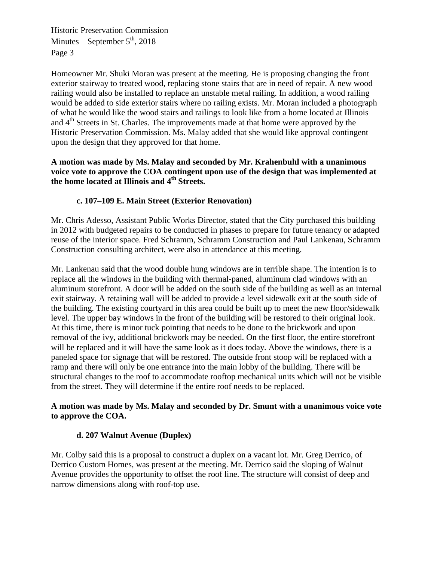Homeowner Mr. Shuki Moran was present at the meeting. He is proposing changing the front exterior stairway to treated wood, replacing stone stairs that are in need of repair. A new wood railing would also be installed to replace an unstable metal railing. In addition, a wood railing would be added to side exterior stairs where no railing exists. Mr. Moran included a photograph of what he would like the wood stairs and railings to look like from a home located at Illinois and  $4<sup>th</sup>$  Streets in St. Charles. The improvements made at that home were approved by the Historic Preservation Commission. Ms. Malay added that she would like approval contingent upon the design that they approved for that home.

#### **A motion was made by Ms. Malay and seconded by Mr. Krahenbuhl with a unanimous voice vote to approve the COA contingent upon use of the design that was implemented at the home located at Illinois and 4th Streets.**

## **c. 107–109 E. Main Street (Exterior Renovation)**

Mr. Chris Adesso, Assistant Public Works Director, stated that the City purchased this building in 2012 with budgeted repairs to be conducted in phases to prepare for future tenancy or adapted reuse of the interior space. Fred Schramm, Schramm Construction and Paul Lankenau, Schramm Construction consulting architect, were also in attendance at this meeting.

Mr. Lankenau said that the wood double hung windows are in terrible shape. The intention is to replace all the windows in the building with thermal-paned, aluminum clad windows with an aluminum storefront. A door will be added on the south side of the building as well as an internal exit stairway. A retaining wall will be added to provide a level sidewalk exit at the south side of the building. The existing courtyard in this area could be built up to meet the new floor/sidewalk level. The upper bay windows in the front of the building will be restored to their original look. At this time, there is minor tuck pointing that needs to be done to the brickwork and upon removal of the ivy, additional brickwork may be needed. On the first floor, the entire storefront will be replaced and it will have the same look as it does today. Above the windows, there is a paneled space for signage that will be restored. The outside front stoop will be replaced with a ramp and there will only be one entrance into the main lobby of the building. There will be structural changes to the roof to accommodate rooftop mechanical units which will not be visible from the street. They will determine if the entire roof needs to be replaced.

#### **A motion was made by Ms. Malay and seconded by Dr. Smunt with a unanimous voice vote to approve the COA.**

#### **d. 207 Walnut Avenue (Duplex)**

Mr. Colby said this is a proposal to construct a duplex on a vacant lot. Mr. Greg Derrico, of Derrico Custom Homes, was present at the meeting. Mr. Derrico said the sloping of Walnut Avenue provides the opportunity to offset the roof line. The structure will consist of deep and narrow dimensions along with roof-top use.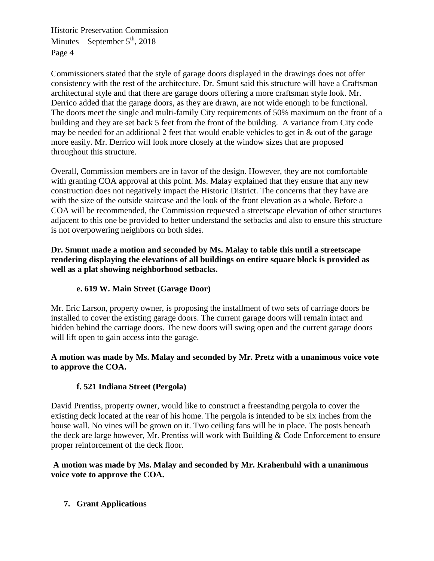Commissioners stated that the style of garage doors displayed in the drawings does not offer consistency with the rest of the architecture. Dr. Smunt said this structure will have a Craftsman architectural style and that there are garage doors offering a more craftsman style look. Mr. Derrico added that the garage doors, as they are drawn, are not wide enough to be functional. The doors meet the single and multi-family City requirements of 50% maximum on the front of a building and they are set back 5 feet from the front of the building. A variance from City code may be needed for an additional 2 feet that would enable vehicles to get in & out of the garage more easily. Mr. Derrico will look more closely at the window sizes that are proposed throughout this structure.

Overall, Commission members are in favor of the design. However, they are not comfortable with granting COA approval at this point. Ms. Malay explained that they ensure that any new construction does not negatively impact the Historic District. The concerns that they have are with the size of the outside staircase and the look of the front elevation as a whole. Before a COA will be recommended, the Commission requested a streetscape elevation of other structures adjacent to this one be provided to better understand the setbacks and also to ensure this structure is not overpowering neighbors on both sides.

**Dr. Smunt made a motion and seconded by Ms. Malay to table this until a streetscape rendering displaying the elevations of all buildings on entire square block is provided as well as a plat showing neighborhood setbacks.**

## **e. 619 W. Main Street (Garage Door)**

Mr. Eric Larson, property owner, is proposing the installment of two sets of carriage doors be installed to cover the existing garage doors. The current garage doors will remain intact and hidden behind the carriage doors. The new doors will swing open and the current garage doors will lift open to gain access into the garage.

#### **A motion was made by Ms. Malay and seconded by Mr. Pretz with a unanimous voice vote to approve the COA.**

## **f. 521 Indiana Street (Pergola)**

David Prentiss, property owner, would like to construct a freestanding pergola to cover the existing deck located at the rear of his home. The pergola is intended to be six inches from the house wall. No vines will be grown on it. Two ceiling fans will be in place. The posts beneath the deck are large however, Mr. Prentiss will work with Building & Code Enforcement to ensure proper reinforcement of the deck floor.

## **A motion was made by Ms. Malay and seconded by Mr. Krahenbuhl with a unanimous voice vote to approve the COA.**

**7. Grant Applications**